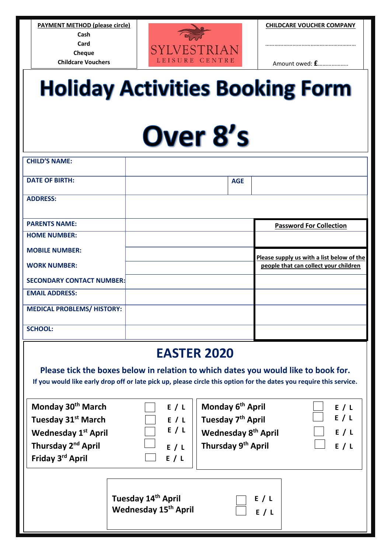**PAYMENT METHOD (please circle) Cash Card Cheque Childcare Vouchers** 



**CHILDCARE VOUCHER COMPANY**

……………………………………………………

Amount owed: **£**………………..

## **Holiday Activities Booking Form**

## Over 8's

| <b>CHILD'S NAME:</b>              |            |                                           |
|-----------------------------------|------------|-------------------------------------------|
| <b>DATE OF BIRTH:</b>             | <b>AGE</b> |                                           |
| <b>ADDRESS:</b>                   |            |                                           |
| <b>PARENTS NAME:</b>              |            | <b>Password For Collection</b>            |
| <b>HOME NUMBER:</b>               |            |                                           |
| <b>MOBILE NUMBER:</b>             |            | Please supply us with a list below of the |
| <b>WORK NUMBER:</b>               |            | people that can collect your children     |
| <b>SECONDARY CONTACT NUMBER:</b>  |            |                                           |
| <b>EMAIL ADDRESS:</b>             |            |                                           |
| <b>MEDICAL PROBLEMS/ HISTORY:</b> |            |                                           |
| <b>SCHOOL:</b>                    |            |                                           |

## **EASTER 2020**

**Please tick the boxes below in relation to which dates you would like to book for. If you would like early drop off or late pick up, please circle this option for the dates you require this service.**

**Monday 30th March Tuesday 31st March Wednesday 1 st April Thursday 2<sup>nd</sup> April** 

Friday 3<sup>rd</sup> April

|   | E / L |
|---|-------|
|   | E / L |
|   | E / L |
|   | E / L |
| L | E / L |

|                                                                                                                                                           | E/L        |
|-----------------------------------------------------------------------------------------------------------------------------------------------------------|------------|
|                                                                                                                                                           | E/L        |
|                                                                                                                                                           | E/L        |
| E / L<br>E / L<br>E / L<br>Wednesday 8 <sup>th</sup> April<br>E / L<br>Thursday 9 <sup>th</sup> April<br>E / L<br>Thursday 9 <sup>th</sup> April<br>E / L | $\Box$ E/L |
|                                                                                                                                                           |            |

**Tuesday 14 th April Wednesday 15 th April** 

| $\rfloor$ | E/L |     |  |
|-----------|-----|-----|--|
| $\bf{]}$  |     | E/L |  |